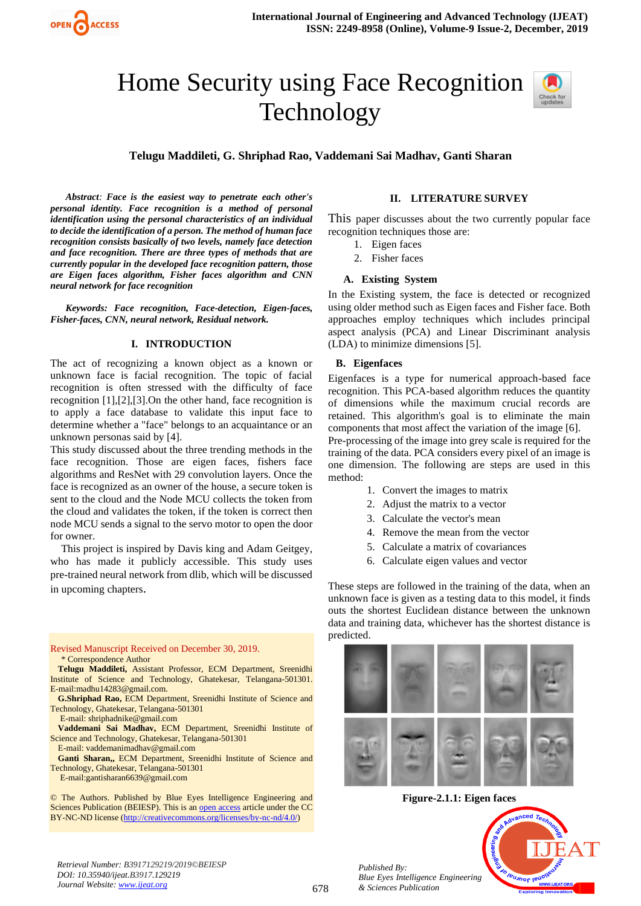

# Home Security using Face Recognition Technology



**Telugu Maddileti, G. Shriphad Rao, Vaddemani Sai Madhav, Ganti Sharan**

*Abstract: Face is the easiest way to penetrate each other's personal identity. Face recognition is a method of personal identification using the personal characteristics of an individual to decide the identification of a person. The method of human face recognition consists basically of two levels, namely face detection and face recognition. There are three types of methods that are currently popular in the developed face recognition pattern, those are Eigen faces algorithm, Fisher faces algorithm and CNN neural network for face recognition*

*Keywords: Face recognition, Face-detection, Eigen-faces, Fisher-faces, CNN, neural network, Residual network.*

## **I. INTRODUCTION**

The act of recognizing a known object as a known or unknown face is facial recognition. The topic of facial recognition is often stressed with the difficulty of face recognition [1],[2],[3].On the other hand, face recognition is to apply a face database to validate this input face to determine whether a "face" belongs to an acquaintance or an unknown personas said by [4].

This study discussed about the three trending methods in the face recognition. Those are eigen faces, fishers face algorithms and ResNet with 29 convolution layers. Once the face is recognized as an owner of the house, a secure token is sent to the cloud and the Node MCU collects the token from the cloud and validates the token, if the token is correct then node MCU sends a signal to the servo motor to open the door for owner.

This project is inspired by Davis king and Adam Geitgey, who has made it publicly accessible. This study uses pre-trained neural network from dlib, which will be discussed in upcoming chapters.

Revised Manuscript Received on December 30, 2019. \* Correspondence Author

- **Telugu Maddileti,** Assistant Professor, ECM Department, Sreenidhi Institute of Science and Technology, Ghatekesar, Telangana-501301. E-mail:madhu14283@gmail.com.
- **G.Shriphad Rao,** ECM Department, Sreenidhi Institute of Science and Technology, Ghatekesar, Telangana-501301
	- E-mail: [shriphadnike@gmail.com](mailto:shriphadnike@gmail.com)
- **Vaddemani Sai Madhav,** ECM Department, Sreenidhi Institute of Science and Technology, Ghatekesar, Telangana-501301
	- E-mail: [vaddemanimadhav@gmail.com](mailto:vaddemanimadhav@gmail.com)

**Ganti Sharan,,** ECM Department, Sreenidhi Institute of Science and Technology, Ghatekesar, Telangana-501301 E-mail[:gantisharan6639@gmail.com](mailto:gantisharan6639@gmail.com)

© The Authors. Published by Blue Eyes Intelligence Engineering and Sciences Publication (BEIESP). This is a[n open access](https://www.openaccess.nl/en/open-publications) article under the CC BY-NC-ND license [\(http://creativecommons.org/licenses/by-nc-nd/4.0/\)](http://creativecommons.org/licenses/by-nc-nd/4.0/)

#### **II. LITERATURE SURVEY**

This paper discusses about the two currently popular face recognition techniques those are:

- 1. Eigen faces
- 2. Fisher faces

## **A. Existing System**

In the Existing system, the face is detected or recognized using older method such as Eigen faces and Fisher face. Both approaches employ techniques which includes principal aspect analysis (PCA) and Linear Discriminant analysis (LDA) to minimize dimensions [5].

## **B. Eigenfaces**

Eigenfaces is a type for numerical approach-based face recognition. This PCA-based algorithm reduces the quantity of dimensions while the maximum crucial records are retained. This algorithm's goal is to eliminate the main components that most affect the variation of the image [6].

Pre-processing of the image into grey scale is required for the training of the data. PCA considers every pixel of an image is one dimension. The following are steps are used in this method:

- 1. Convert the images to matrix
- 2. Adjust the matrix to a vector
- 3. Calculate the vector's mean
- 4. Remove the mean from the vector
- 5. Calculate a matrix of covariances
- 6. Calculate eigen values and vector

These steps are followed in the training of the data, when an unknown face is given as a testing data to this model, it finds outs the shortest Euclidean distance between the unknown data and training data, whichever has the shortest distance is predicted.



**Figure-2.1.1: Eigen faces**

*Retrieval Number: B3917129219/2019©BEIESP DOI: 10.35940/ijeat.B3917.129219 Journal Website[: www.ijeat.org](http://www.ijeat.org/)*

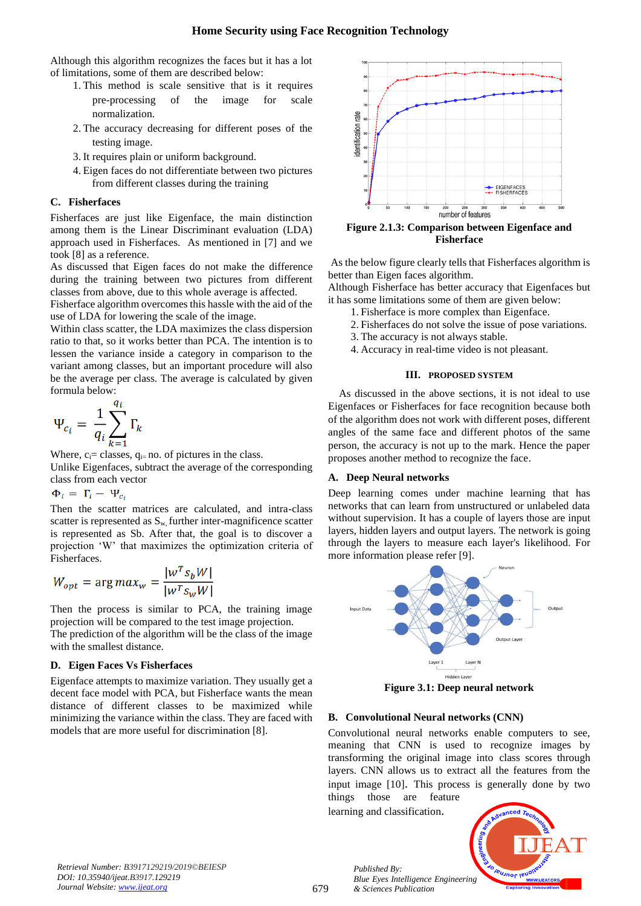Although this algorithm recognizes the faces but it has a lot of limitations, some of them are described below:

- 1. This method is scale sensitive that is it requires pre-processing of the image for scale normalization.
- 2. The accuracy decreasing for different poses of the testing image.
- 3. It requires plain or uniform background.
- 4. Eigen faces do not differentiate between two pictures from different classes during the training

#### **C. Fisherfaces**

Fisherfaces are just like Eigenface, the main distinction among them is the Linear Discriminant evaluation (LDA) approach used in Fisherfaces. As mentioned in [7] and we took [8] as a reference.

As discussed that Eigen faces do not make the difference during the training between two pictures from different classes from above, due to this whole average is affected.

Fisherface algorithm overcomes this hassle with the aid of the use of LDA for lowering the scale of the image.

Within class scatter, the LDA maximizes the class dispersion ratio to that, so it works better than PCA. The intention is to lessen the variance inside a category in comparison to the variant among classes, but an important procedure will also be the average per class. The average is calculated by given formula below:

$$
\Psi_{c_i} = \frac{1}{q_i} \sum_{k=1}^{q_i} \Gamma_k
$$

Where,  $c_i$ = classes,  $q_i$ = no. of pictures in the class. Unlike Eigenfaces, subtract the average of the corresponding class from each vector

 $\Phi_i = \Gamma_i - \Psi_{c_i}$ 

Then the scatter matrices are calculated, and intra-class scatter is represented as Sw, further inter-magnificence scatter is represented as Sb. After that, the goal is to discover a projection 'W' that maximizes the optimization criteria of Fisherfaces.

$$
W_{opt} = \arg max_{w} = \frac{|w^T s_b W|}{|w^T s_w W|}
$$

Then the process is similar to PCA, the training image projection will be compared to the test image projection.

The prediction of the algorithm will be the class of the image with the smallest distance.

## **D. Eigen Faces Vs Fisherfaces**

Eigenface attempts to maximize variation. They usually get a decent face model with PCA, but Fisherface wants the mean distance of different classes to be maximized while minimizing the variance within the class. They are faced with models that are more useful for discrimination [8].



As the below figure clearly tells that Fisherfaces algorithm is better than Eigen faces algorithm.

Although Fisherface has better accuracy that Eigenfaces but it has some limitations some of them are given below:

- 1. Fisherface is more complex than Eigenface.
- 2. Fisherfaces do not solve the issue of pose variations.
- 3. The accuracy is not always stable. 4. Accuracy in real-time video is not pleasant.

#### **III. PROPOSED SYSTEM**

As discussed in the above sections, it is not ideal to use Eigenfaces or Fisherfaces for face recognition because both of the algorithm does not work with different poses, different angles of the same face and different photos of the same person, the accuracy is not up to the mark. Hence the paper proposes another method to recognize the face.

## **A. Deep Neural networks**

Deep learning comes under machine learning that has networks that can learn from unstructured or unlabeled data without supervision. It has a couple of layers those are input layers, hidden layers and output layers. The network is going through the layers to measure each layer's likelihood. For more information please refer [9].



**Figure 3.1: Deep neural network**

## **B. Convolutional Neural networks (CNN)**

Convolutional neural networks enable computers to see, meaning that CNN is used to recognize images by transforming the original image into class scores through layers. CNN allows us to extract all the features from the input image [10]. This process is generally done by two

things those are feature learning and classification.

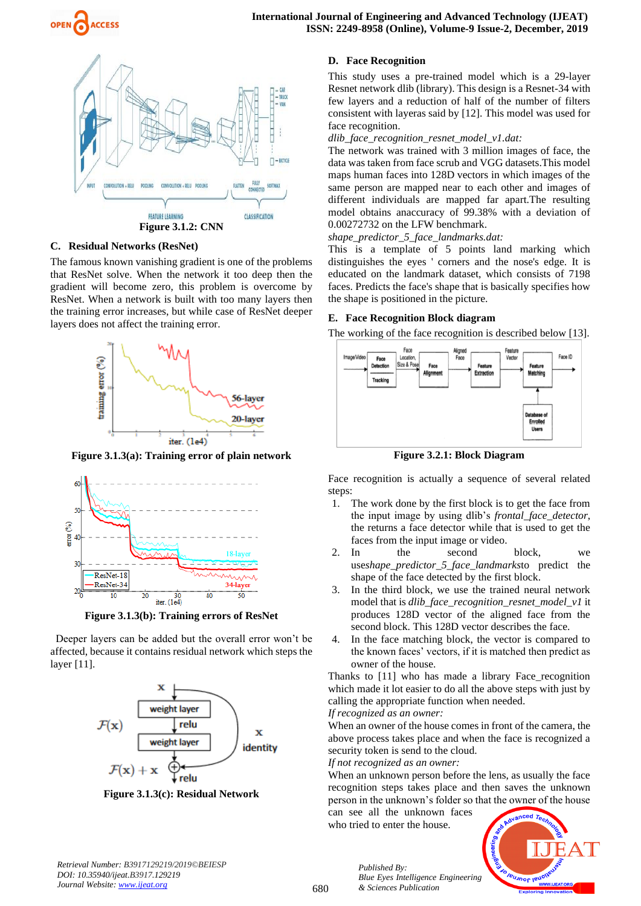



**Figure 3.1.2: CNN**

## **C. Residual Networks (ResNet)**

The famous known vanishing gradient is one of the problems that ResNet solve. When the network it too deep then the gradient will become zero, this problem is overcome by ResNet. When a network is built with too many layers then the training error increases, but while case of ResNet deeper layers does not affect the training error.



**Figure 3.1.3(a): Training error of plain network**



**Figure 3.1.3(b): Training errors of ResNet**

Deeper layers can be added but the overall error won't be affected, because it contains residual network which steps the layer [11].



**Figure 3.1.3(c): Residual Network**

#### **D. Face Recognition**

This study uses a pre-trained model which is a 29-layer Resnet network dlib (library). This design is a Resnet-34 with few layers and a reduction of half of the number of filters consistent with layeras said by [12]. This model was used for face recognition.

*dlib\_face\_recognition\_resnet\_model\_v1.dat:*

The network was trained with 3 million images of face, the data was taken from face scrub and VGG datasets.This model maps human faces into 128D vectors in which images of the same person are mapped near to each other and images of different individuals are mapped far apart.The resulting model obtains anaccuracy of 99.38% with a deviation of 0.00272732 on the LFW benchmark.

*shape\_predictor\_5\_face\_landmarks.dat:*

This is a template of 5 points land marking which distinguishes the eyes ' corners and the nose's edge. It is educated on the landmark dataset, which consists of 7198 faces. Predicts the face's shape that is basically specifies how the shape is positioned in the picture.

#### **E. Face Recognition Block diagram**

The working of the face recognition is described below [13].



**Figure 3.2.1: Block Diagram**

Face recognition is actually a sequence of several related steps:

- 1. The work done by the first block is to get the face from the input image by using dlib's *frontal\_face\_detector*, the returns a face detector while that is used to get the faces from the input image or video.
- 2. In the second block, we use*shape\_predictor\_5\_face\_landmarks*to predict the shape of the face detected by the first block.
- 3. In the third block, we use the trained neural network model that is *dlib\_face\_recognition\_resnet\_model\_v1* it produces 128D vector of the aligned face from the second block. This 128D vector describes the face.
- 4. In the face matching block, the vector is compared to the known faces' vectors, if it is matched then predict as owner of the house.

Thanks to [11] who has made a library Face\_recognition which made it lot easier to do all the above steps with just by calling the appropriate function when needed.

#### *If recognized as an owner:*

When an owner of the house comes in front of the camera, the above process takes place and when the face is recognized a security token is send to the cloud.

*If not recognized as an owner:*

When an unknown person before the lens, as usually the face recognition steps takes place and then saves the unknown person in the unknown's folder so that the owner of the house

can see all the unknown faces who tried to enter the house.



*Retrieval Number: B3917129219/2019©BEIESP DOI: 10.35940/ijeat.B3917.129219 Journal Website[: www.ijeat.org](http://www.ijeat.org/)*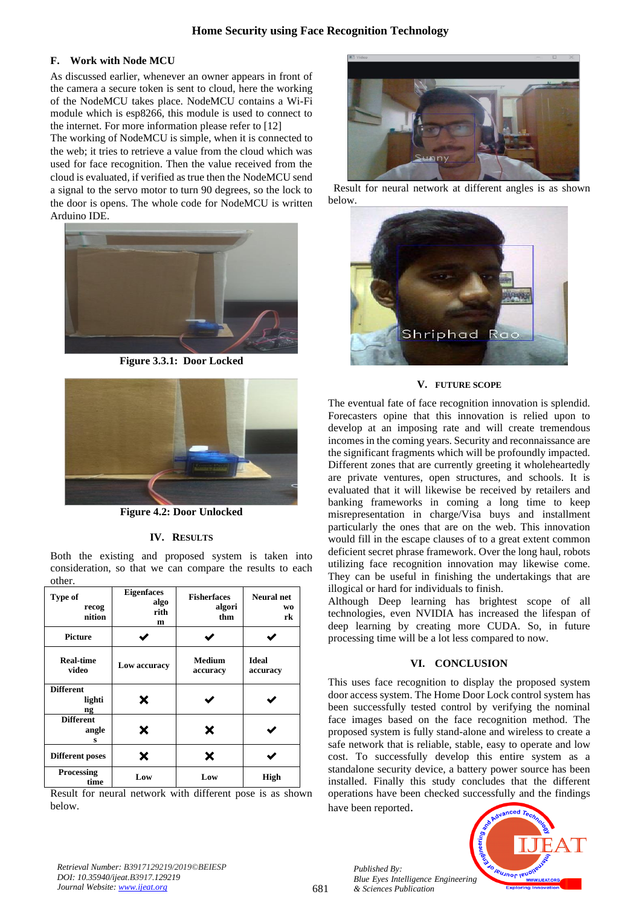# **Home Security using Face Recognition Technology**

## **F. Work with Node MCU**

As discussed earlier, whenever an owner appears in front of the camera a secure token is sent to cloud, here the working of the NodeMCU takes place. NodeMCU contains a Wi-Fi module which is esp8266, this module is used to connect to the internet. For more information please refer to [12]

The working of NodeMCU is simple, when it is connected to the web; it tries to retrieve a value from the cloud which was used for face recognition. Then the value received from the cloud is evaluated, if verified as true then the NodeMCU send a signal to the servo motor to turn 90 degrees, so the lock to the door is opens. The whole code for NodeMCU is written Arduino IDE.



**Figure 3.3.1: Door Locked**



**Figure 4.2: Door Unlocked**

## **IV. RESULTS**

Both the existing and proposed system is taken into consideration, so that we can compare the results to each other.

| Type of<br>recog<br>nition       | <b>Eigenfaces</b><br>algo<br>rith<br>m | <b>Fisherfaces</b><br>algori<br>thm | <b>Neural</b> net<br>WO<br>rk |
|----------------------------------|----------------------------------------|-------------------------------------|-------------------------------|
| <b>Picture</b>                   |                                        |                                     |                               |
| <b>Real-time</b><br>video        | Low accuracy                           | <b>Medium</b><br>accuracy           | <b>Ideal</b><br>accuracy      |
| <b>Different</b><br>lighti<br>ng | X                                      |                                     |                               |
| <b>Different</b><br>angle<br>s   | X                                      | X                                   |                               |
| <b>Different poses</b>           | x                                      | Х                                   |                               |
| <b>Processing</b><br>time        | Low                                    | Low                                 | <b>High</b>                   |

Result for neural network with different pose is as shown below.



 Result for neural network at different angles is as shown below.



#### **V. FUTURE SCOPE**

The eventual fate of face recognition innovation is splendid. Forecasters opine that this innovation is relied upon to develop at an imposing rate and will create tremendous incomes in the coming years. Security and reconnaissance are the significant fragments which will be profoundly impacted. Different zones that are currently greeting it wholeheartedly are private ventures, open structures, and schools. It is evaluated that it will likewise be received by retailers and banking frameworks in coming a long time to keep misrepresentation in charge/Visa buys and installment particularly the ones that are on the web. This innovation would fill in the escape clauses of to a great extent common deficient secret phrase framework. Over the long haul, robots utilizing face recognition innovation may likewise come. They can be useful in finishing the undertakings that are illogical or hard for individuals to finish.

Although Deep learning has brightest scope of all technologies, even NVIDIA has increased the lifespan of deep learning by creating more CUDA. So, in future processing time will be a lot less compared to now.

# **VI. CONCLUSION**

This uses face recognition to display the proposed system door access system. The Home Door Lock control system has been successfully tested control by verifying the nominal face images based on the face recognition method. The proposed system is fully stand-alone and wireless to create a safe network that is reliable, stable, easy to operate and low cost. To successfully develop this entire system as a standalone security device, a battery power source has been installed. Finally this study concludes that the different operations have been checked successfully and the findings have been reported.

*Retrieval Number: B3917129219/2019©BEIESP DOI: 10.35940/ijeat.B3917.129219 Journal Website[: www.ijeat.org](http://www.ijeat.org/)*